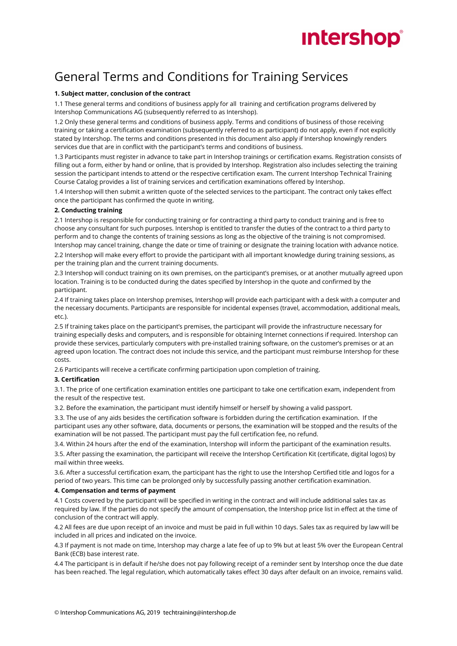

### General Terms and Conditions for Training Services

#### **1. Subject matter, conclusion of the contract**

1.1 These general terms and conditions of business apply for all training and certification programs delivered by Intershop Communications AG (subsequently referred to as Intershop).

1.2 Only these general terms and conditions of business apply. Terms and conditions of business of those receiving training or taking a certification examination (subsequently referred to as participant) do not apply, even if not explicitly stated by Intershop. The terms and conditions presented in this document also apply if Intershop knowingly renders services due that are in conflict with the participant's terms and conditions of business.

1.3 Participants must register in advance to take part in Intershop trainings or certification exams. Registration consists of filling out a form, either by hand or online, that is provided by Intershop. Registration also includes selecting the training session the participant intends to attend or the respective certification exam. The current Intershop Technical Training Course Catalog provides a list of training services and certification examinations offered by Intershop.

1.4 Intershop will then submit a written quote of the selected services to the participant. The contract only takes effect once the participant has confirmed the quote in writing.

#### **2. Conducting training**

2.1 Intershop is responsible for conducting training or for contracting a third party to conduct training and is free to choose any consultant for such purposes. Intershop is entitled to transfer the duties of the contract to a third party to perform and to change the contents of training sessions as long as the objective of the training is not compromised. Intershop may cancel training, change the date or time of training or designate the training location with advance notice. 2.2 Intershop will make every effort to provide the participant with all important knowledge during training sessions, as

per the training plan and the current training documents.

2.3 Intershop will conduct training on its own premises, on the participant's premises, or at another mutually agreed upon location. Training is to be conducted during the dates specified by Intershop in the quote and confirmed by the participant.

2.4 If training takes place on Intershop premises, Intershop will provide each participant with a desk with a computer and the necessary documents. Participants are responsible for incidental expenses (travel, accommodation, additional meals, etc.).

2.5 If training takes place on the participant's premises, the participant will provide the infrastructure necessary for training especially desks and computers, and is responsible for obtaining Internet connections if required. Intershop can provide these services, particularly computers with pre-installed training software, on the customer's premises or at an agreed upon location. The contract does not include this service, and the participant must reimburse Intershop for these costs.

2.6 Participants will receive a certificate confirming participation upon completion of training.

#### **3. Certification**

3.1. The price of one certification examination entitles one participant to take one certification exam, independent from the result of the respective test.

3.2. Before the examination, the participant must identify himself or herself by showing a valid passport.

3.3. The use of any aids besides the certification software is forbidden during the certification examination. If the participant uses any other software, data, documents or persons, the examination will be stopped and the results of the examination will be not passed. The participant must pay the full certification fee, no refund.

3.4. Within 24 hours after the end of the examination, Intershop will inform the participant of the examination results.

3.5. After passing the examination, the participant will receive the Intershop Certification Kit (certificate, digital logos) by mail within three weeks.

3.6. After a successful certification exam, the participant has the right to use the Intershop Certified title and logos for a period of two years. This time can be prolonged only by successfully passing another certification examination.

#### **4. Compensation and terms of payment**

4.1 Costs covered by the participant will be specified in writing in the contract and will include additional sales tax as required by law. If the parties do not specify the amount of compensation, the Intershop price list in effect at the time of conclusion of the contract will apply.

4.2 All fees are due upon receipt of an invoice and must be paid in full within 10 days. Sales tax as required by law will be included in all prices and indicated on the invoice.

4.3 If payment is not made on time, Intershop may charge a late fee of up to 9% but at least 5% over the European Central Bank (ECB) base interest rate.

4.4 The participant is in default if he/she does not pay following receipt of a reminder sent by Intershop once the due date has been reached. The legal regulation, which automatically takes effect 30 days after default on an invoice, remains valid.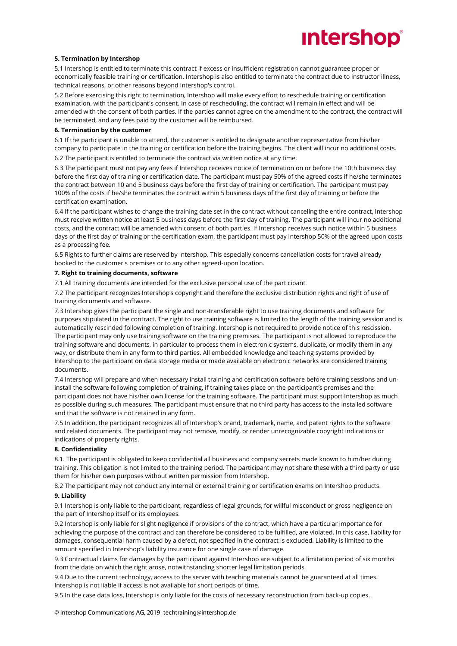# **Intershop**®

#### **5. Termination by Intershop**

5.1 Intershop is entitled to terminate this contract if excess or insufficient registration cannot guarantee proper or economically feasible training or certification. Intershop is also entitled to terminate the contract due to instructor illness, technical reasons, or other reasons beyond Intershop's control.

5.2 Before exercising this right to termination, Intershop will make every effort to reschedule training or certification examination, with the participant's consent. In case of rescheduling, the contract will remain in effect and will be amended with the consent of both parties. If the parties cannot agree on the amendment to the contract, the contract will be terminated, and any fees paid by the customer will be reimbursed.

#### **6. Termination by the customer**

6.1 If the participant is unable to attend, the customer is entitled to designate another representative from his/her company to participate in the training or certification before the training begins. The client will incur no additional costs.

6.2 The participant is entitled to terminate the contract via written notice at any time.

6.3 The participant must not pay any fees if Intershop receives notice of termination on or before the 10th business day before the first day of training or certification date. The participant must pay 50% of the agreed costs if he/she terminates the contract between 10 and 5 business days before the first day of training or certification. The participant must pay 100% of the costs if he/she terminates the contract within 5 business days of the first day of training or before the certification examination.

6.4 If the participant wishes to change the training date set in the contract without canceling the entire contract, Intershop must receive written notice at least 5 business days before the first day of training. The participant will incur no additional costs, and the contract will be amended with consent of both parties. If Intershop receives such notice within 5 business days of the first day of training or the certification exam, the participant must pay Intershop 50% of the agreed upon costs as a processing fee.

6.5 Rights to further claims are reserved by Intershop. This especially concerns cancellation costs for travel already booked to the customer's premises or to any other agreed-upon location.

#### **7. Right to training documents, software**

7.1 All training documents are intended for the exclusive personal use of the participant.

7.2 The participant recognizes Intershop's copyright and therefore the exclusive distribution rights and right of use of training documents and software.

7.3 Intershop gives the participant the single and non-transferable right to use training documents and software for purposes stipulated in the contract. The right to use training software is limited to the length of the training session and is automatically rescinded following completion of training. Intershop is not required to provide notice of this rescission. The participant may only use training software on the training premises. The participant is not allowed to reproduce the training software and documents, in particular to process them in electronic systems, duplicate, or modify them in any way, or distribute them in any form to third parties. All embedded knowledge and teaching systems provided by Intershop to the participant on data storage media or made available on electronic networks are considered training documents.

7.4 Intershop will prepare and when necessary install training and certification software before training sessions and uninstall the software following completion of training, if training takes place on the participant's premises and the participant does not have his/her own license for the training software. The participant must support Intershop as much as possible during such measures. The participant must ensure that no third party has access to the installed software and that the software is not retained in any form.

7.5 In addition, the participant recognizes all of Intershop's brand, trademark, name, and patent rights to the software and related documents. The participant may not remove, modify, or render unrecognizable copyright indications or indications of property rights.

#### **8. Confidentiality**

8.1. The participant is obligated to keep confidential all business and company secrets made known to him/her during training. This obligation is not limited to the training period. The participant may not share these with a third party or use them for his/her own purposes without written permission from Intershop.

8.2 The participant may not conduct any internal or external training or certification exams on Intershop products.

#### **9. Liability**

9.1 Intershop is only liable to the participant, regardless of legal grounds, for willful misconduct or gross negligence on the part of Intershop itself or its employees.

9.2 Intershop is only liable for slight negligence if provisions of the contract, which have a particular importance for achieving the purpose of the contract and can therefore be considered to be fulfilled, are violated. In this case, liability for damages, consequential harm caused by a defect, not specified in the contract is excluded. Liability is limited to the amount specified in Intershop's liability insurance for one single case of damage.

9.3 Contractual claims for damages by the participant against Intershop are subject to a limitation period of six months from the date on which the right arose, notwithstanding shorter legal limitation periods.

9.4 Due to the current technology, access to the server with teaching materials cannot be guaranteed at all times. Intershop is not liable if access is not available for short periods of time.

9.5 In the case data loss, Intershop is only liable for the costs of necessary reconstruction from back-up copies.